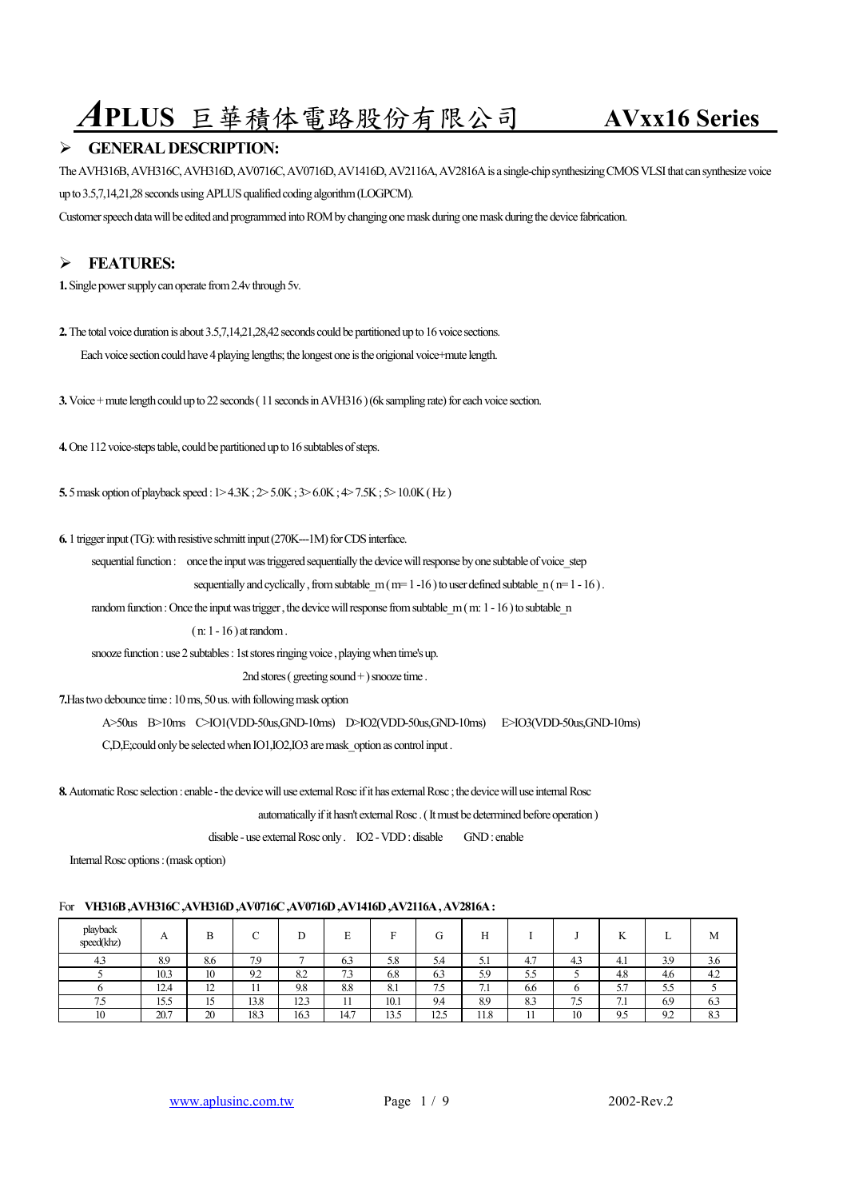# *A***PLUS** 巨華積体電路股份有限公司 **AVxx16 Series**

### ¾ **GENERAL DESCRIPTION:**

The AVH316B, AVH316C, AVH316D, AV0716C, AV0716D, AV1416D, AV2116A, AV2816A is a single-chip synthesizing CMOS VLSI that can synthesize voice up to 3.5,7,14,21,28 seconds using APLUS qualified coding algorithm (LOGPCM).

Customer speech data will be edited and programmed into ROM by changing one mask during one mask during the device fabrication.

# ¾ **FEATURES:**

**1.** Single power supply can operate from 2.4v through 5v.

**2.** The total voice duration is about 3.5,7,14,21,28,42 seconds could be partitioned up to 16 voice sections.

Each voice section could have 4 playing lengths; the longest one is the origional voice+mute length.

**3.** Voice + mute length could up to 22 seconds ( 11 seconds in AVH316 ) (6k sampling rate) for each voice section.

**4.** One 112 voice-steps table, could be partitioned up to 16 subtables of steps.

**5.** 5 mask option of playback speed : 1> 4.3K ; 2> 5.0K ; 3> 6.0K ; 4> 7.5K ; 5> 10.0K ( Hz )

**6.** 1 trigger input (TG): with resistive schmitt input (270K---1M) for CDS interface.

sequential function : once the input was triggered sequentially the device will response by one subtable of voice step

sequentially and cyclically, from subtable  $m ( m= 1 -16 )$  to user defined subtable  $n ( m= 1 -16 )$ .

random function : Once the input was trigger, the device will response from subtable m (m: 1 - 16) to subtable n

( n: 1 - 16 ) at random .

snooze function : use 2 subtables : 1st stores ringing voice, playing when time's up.

2nd stores (greeting sound +) snooze time.

**7.**Has two debounce time : 10 ms, 50 us. with following mask option

A>50us B>10ms C>IO1(VDD-50us,GND-10ms) D>IO2(VDD-50us,GND-10ms) E>IO3(VDD-50us,GND-10ms)

C,D,E;could only be selected when IO1,IO2,IO3 are mask\_option as control input .

**8.** Automatic Rosc selection : enable - the device will use external Rosc if it has external Rosc : the device will use internal Rosc

automatically if it hasn't external Rosc . ( It must be determined before operation )

disable - use external Rosc only . IO2 - VDD : disable GND : enable

Internal Rosc options : (mask option)

### For **VH316B ,AVH316C ,AVH316D ,AV0716C ,AV0716D ,AV1416D ,AV2116A , AV2816A :**

| playback<br>speed(khz) | A    |                |              |                         | $\blacksquare$<br>ы.<br>∸ | -                     | ÅТ       |                      |     |             | T.Z<br>N        | ∸   | М   |
|------------------------|------|----------------|--------------|-------------------------|---------------------------|-----------------------|----------|----------------------|-----|-------------|-----------------|-----|-----|
| 4.3                    | 8.9  | 8.6            | 7.9          |                         | ົ^<br>0.3                 | 5.8                   | 5.4      | $\sim$ $\sim$ $\sim$ | 4.7 | 4.3         | 4.1             | 3.9 | 3.0 |
|                        | 10.3 | 10             | 9.2          | $\circ$<br>0.4          | $\mathbf{a}$<br>د. ا      | 6.8                   | 6.3      | 5.9                  | 5.5 |             | 4.8             | 4.6 | 4.2 |
|                        | 12.4 | $\overline{ }$ | $\mathbf{1}$ | 9.8                     | 8.8                       | O <sub>1</sub><br>0.1 | ÷<br>כ./ | -<br>.               | 6.6 |             | 57<br>ر. ر      | 5.5 |     |
| $ -$                   | 15.5 | ໋              | 13.8         | 10 <sub>2</sub><br>12.3 | $\cdot$                   | 10.1                  | 9.4      | 8.9                  | 8.3 | $ -$<br>ب ، | -<br>$\sqrt{1}$ | 6.9 | 0.3 |
| 10                     | 20.7 | 20             | 18.3         | 16.3                    | 14.7                      | 12r<br>13.5           | 12.5     | 11.8                 |     | 10          | 9.5             | 9.2 | 8.3 |

www.aplusinc.com.tw  $Page \ 1 / 9$  2002-Rev.2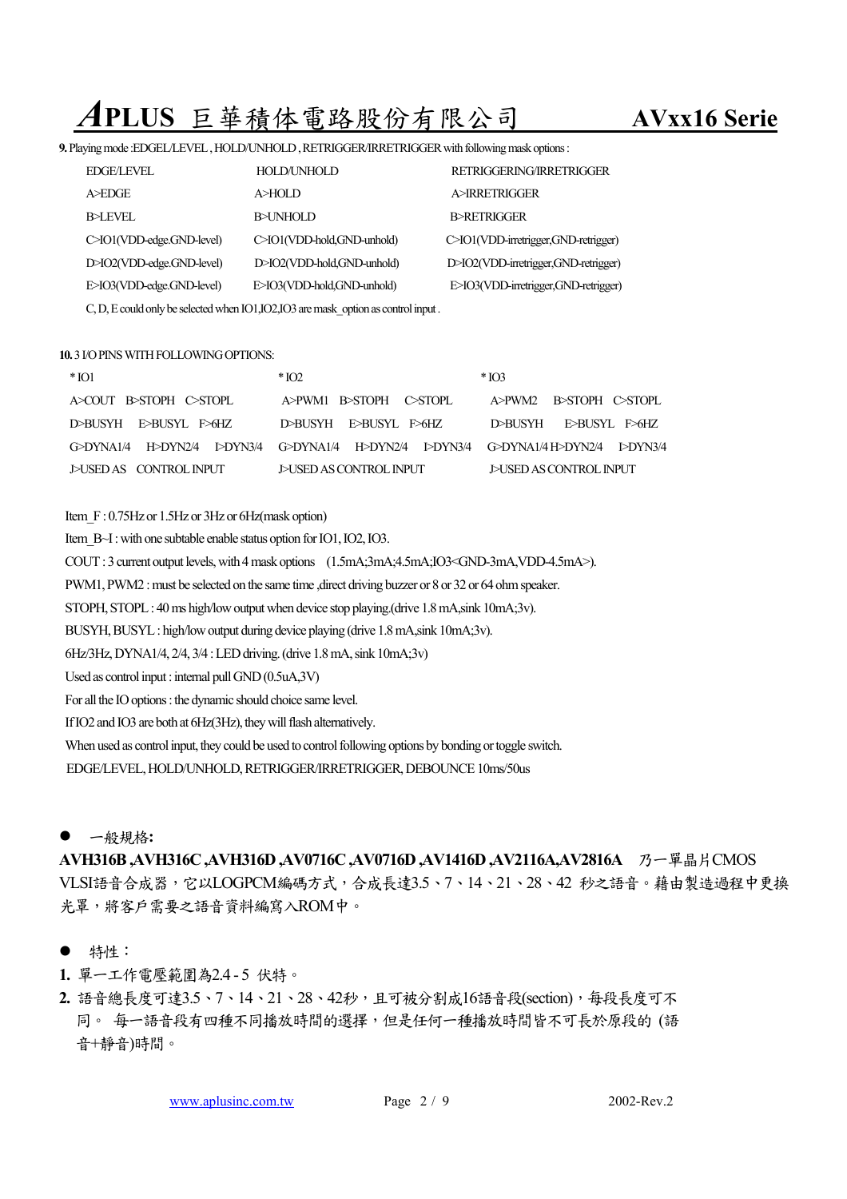# *A***PLUS** 巨華積体電路股份有限公司 **AVxx16 Serie**

**9.** Playing mode :EDGEL/LEVEL , HOLD/UNHOLD , RETRIGGER/IRRETRIGGER with following mask options :

| <b>EDGE/LEVEL</b>         | HOLD/UNHOLD                                                                         | RETRIGGERING/IRRETRIGGER              |
|---------------------------|-------------------------------------------------------------------------------------|---------------------------------------|
| A>EDGE                    | A>HOLD                                                                              | A>IRRETRIGGER                         |
| <b>B</b> >LEVEL           | <b>B</b> >UNHOLD                                                                    | B>RETRIGGER                           |
| C>IO1(VDD-edge.GND-level) | C>IO1(VDD-hold,GND-unhold)                                                          | C>IO1(VDD-irretrigger, GND-retrigger) |
| D>IO2(VDD-edge.GND-level) | D>IO2(VDD-hold,GND-unhold)                                                          | D>IO2(VDD-irretrigger, GND-retrigger) |
| E>IO3(VDD-edge.GND-level) | E>IO3(VDD-hold,GND-unhold)                                                          | E>IO3(VDD-irretrigger,GND-retrigger)  |
|                           | C, D, E could only be selected when IO1, IO2, IO3 are mask option as control input. |                                       |

### **10.** 3 I/O PINS WITH FOLLOWING OPTIONS:

| $*$ [O1                | $*$ IO <sub>2</sub>                                                                | $*$ IO3                 |  |  |  |
|------------------------|------------------------------------------------------------------------------------|-------------------------|--|--|--|
| A>COUT B>STOPH C>STOPL | A>PWM1 B>STOPH C>STOPL                                                             | A>PWM2 B>STOPH C>STOPL  |  |  |  |
| D>BUSYH E>BUSYL E>6HZ  | D>BUSYH E>BUSYL E>6HZ                                                              | D>BUSYH E>BUSYL E>6HZ   |  |  |  |
|                        | GƏDYNA1/4 HƏDYN2/4 I>DYN3/4 GƏDYNA1/4 HƏDYN2/4 I>DYN3/4 GƏDYNA1/4HƏDYN2/4 I>DYN3/4 |                         |  |  |  |
| DUSED AS CONTROL INPUT | J>USED AS CONTROL INPUT                                                            | J>USED AS CONTROL INPUT |  |  |  |

- Item F: 0.75Hz or 1.5Hz or 3Hz or 6Hz(mask option)
- Item B~I : with one subtable enable status option for IO1, IO2, IO3.
- COUT : 3 current output levels, with 4 mask options (1.5mA;3mA;4.5mA;IO3<GND-3mA,VDD-4.5mA>).

PWM1, PWM2 : must be selected on the same time , direct driving buzzer or 8 or 32 or 64 ohm speaker.

STOPH, STOPL : 40 ms high/low output when device stop playing.(drive 1.8 mA,sink 10mA;3v).

BUSYH, BUSYL : high/low output during device playing (drive 1.8 mA,sink 10mA;3v).

6Hz/3Hz, DYNA1/4, 2/4, 3/4 : LED driving. (drive 1.8 mA, sink 10mA;3v)

Used as control input : internal pull GND (0.5uA,3V)

For all the IO options : the dynamic should choice same level.

If IO2 and IO3 are both at 6Hz(3Hz), they will flash alternatively.

When used as control input, they could be used to control following options by bonding or toggle switch.

EDGE/LEVEL, HOLD/UNHOLD, RETRIGGER/IRRETRIGGER, DEBOUNCE 10ms/50us

### ● 一般規格:

**AVH316B,AVH316C,AVH316D,AV0716C,AV0716D,AV1416D,AV2116A,AV2816A** 乃一單晶片CMOS VLSI語音合成器,它以LOGPCM編碼方式,合成長達3.5、7、14、21、28、42 秒之語音。藉由製造過程中更換 光罩,將客戶需要之語音資料編寫入ROM中。

- 特性:
- **1.** 單㆒工作電壓範圍為2.4 5 伏特。
- **2.** 語音總長度可達3.5、7、14、21、28、42秒,且可被分割成16語音段(section),每段長度可不 同。 每一語音段有四種不同播放時間的選擇,但是任何一種播放時間皆不可長於原段的 (語 音+靜音)時間。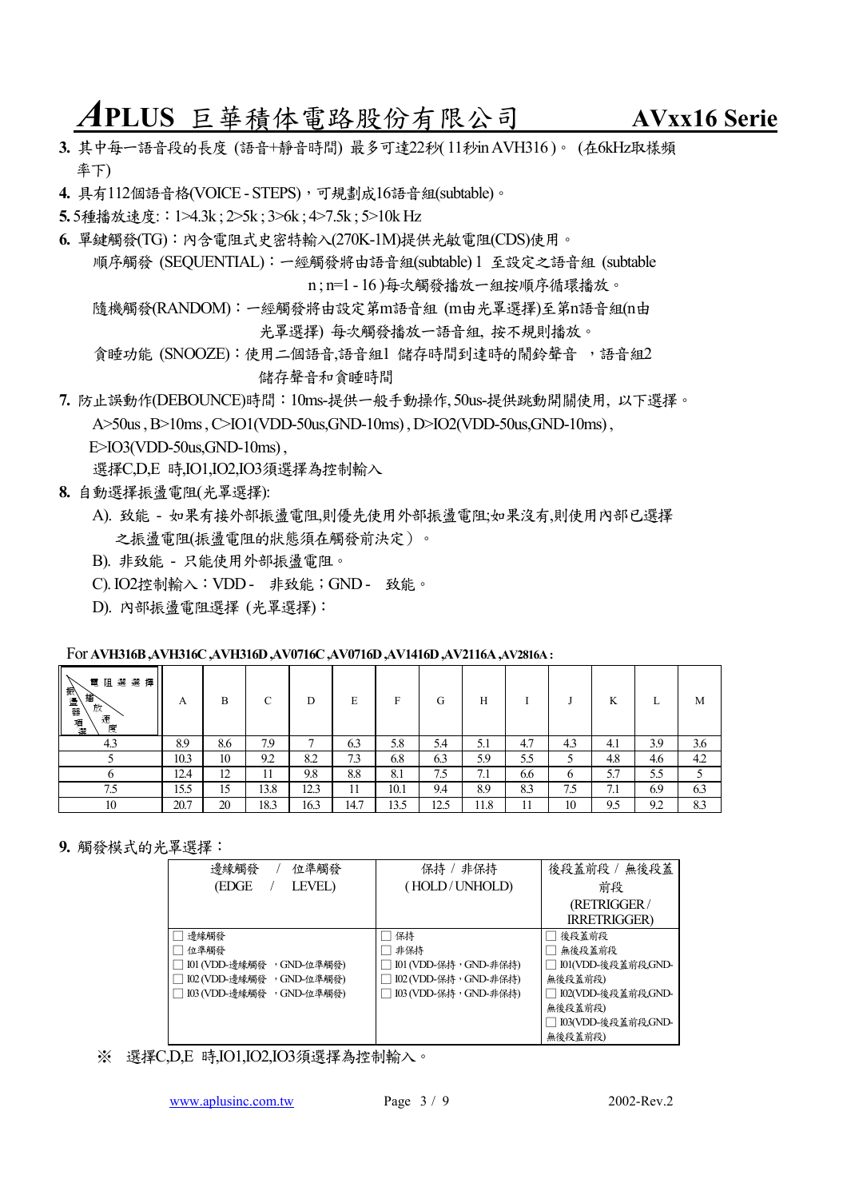*A***PLUS** 巨華積体電路股份有限公司 **AVxx16 Serie**

- 3. 其中每一語音段的長度 (語音+静音時間) 最多可達22秒( 11秒in AVH316)。 (在6kHz取樣頻 率下)
- **4.** 具有112個語音格(VOICE STEPS),可規劃成16語音組(subtable)。
- **5.** 5種播放速度::1>4.3k ; 2>5k ; 3>6k ; 4>7.5k ; 5>10k Hz
- **6.** 單鍵觸發(TG):內含電阻式史密特輸入(270K-1M)提供光敏電阻(CDS)使用。 順序觸發 (SEQUENTIAL):㆒經觸發將由語音組(subtable) 1 至設定之語音組 (subtable n ; n=1 - 16 )每次觸發播放㆒組按順序循環播放。

隨機觸發(RANDOM):㆒經觸發將由設定第m語音組 (m由光罩選擇)至第n語音組(n由 光罩選擇) 每次觸發播放㆒語音組, 按不規則播放。

貪睡功能 (SNOOZE):使用二個語音,語音組1 儲存時間到達時的鬧鈴聲音,語音組2 儲存聲音和貪睡時間

**7.** 防止誤動作(DEBOUNCE)時間:10ms-提供㆒般手動操作, 50us-提供跳動開關使用, 以㆘選擇。 A>50us , B>10ms , C>IO1(VDD-50us,GND-10ms) , D>IO2(VDD-50us,GND-10ms) ,  $E>IO3(VDD-50us,GND-10ms)$ .

選擇C,D,E 時,IO1,IO2,IO3須選擇為控制輸入

- **8.** 自動選擇振盪電阻(光罩選擇):
	- A). 致能 如果有接外部振盪電阻,則優先使用外部振盪電阻;如果沒有,則使用內部已選擇 之振盪電阻(振盪電阻的狀態須在觸發前決定)。
	- B). 非致能 只能使用外部振盪電阻。
	- C). IO2控制輸入:VDD 非致能;GND 致能。
	- D). 內部振盪電阻選擇 (光罩選擇):

### For **AVH316B ,AVH316C ,AVH316D ,AV0716C ,AV0716D ,AV1416D ,AV2116A ,AV2816A :**

| 人氣盪器 耳<br>電<br>選選<br>擇<br>阻<br>播<br>放<br> 器項盟<br>速<br>度 | A    | В   | С    | D    | Е    | F    | G    | Н    |     |          | K   | ⊥   | М   |
|---------------------------------------------------------|------|-----|------|------|------|------|------|------|-----|----------|-----|-----|-----|
| 4.3                                                     | 8.9  | 8.6 | 7.9  | ⇁    | 6.3  | 5.8  | 5.4  | 5.1  | 4.7 | 4.3      | 4.1 | 3.9 | 3.6 |
|                                                         | 10.3 | 10  | 9.2  | 8.2  | 7.3  | 6.8  | 6.3  | 5.9  | 5.5 | 5        | 4.8 | 4.6 | 4.2 |
|                                                         | 12.4 | 12  | 11   | 9.8  | 8.8  | 8.1  | 7.5  | 7.1  | 6.6 | $\sigma$ | 5.7 | 5.5 |     |
| 7.5                                                     | 15.5 | 15  | 13.8 | 12.3 | 11   | 10.1 | 9.4  | 8.9  | 8.3 | 7.5      | 7.1 | 6.9 | 6.3 |
| 10                                                      | 20.7 | 20  | 18.3 | 16.3 | 14.7 | 13.5 | 12.5 | 11.8 | . . | 10       | 9.5 | 9.2 | 8.3 |

**9.** 觸發模式的光罩選擇:

| 邊緣觸發<br>位準觸發               | 保持 / 非保持               | 後段蓋前段 / 無後段蓋         |  |  |
|----------------------------|------------------------|----------------------|--|--|
| (EDGE<br><b>LEVEL</b> )    | (HOLD/UNHOLD)          | 前段                   |  |  |
|                            |                        | (RETRIGGER/          |  |  |
|                            |                        | <b>IRRETRIGGER)</b>  |  |  |
| 邊緣觸發                       | 保持                     | 後段蓋前段                |  |  |
| 位準觸發                       | 非保持                    | 無後段蓋前段               |  |  |
| 101 (VDD-邊緣觸發 , GND-位準觸發)  | □ 101 (VDD-保持,GND-非保持) | □ I01(VDD-後段蓋前段,GND- |  |  |
| 102 (VDD-邊緣觸發 , GND-位準觸發)  | □ 102 (VDD-保持,GND-非保持) | 無後段蓋前段)              |  |  |
| □ 103 (VDD-邊緣觸發 ,GND-位準觸發) | □ 103 (VDD-保持,GND-非保持) | □ I02(VDD-後段蓋前段,GND- |  |  |
|                            |                        | 無後段蓋前段)              |  |  |
|                            |                        | □ 103(VDD-後段蓋前段,GND- |  |  |
|                            |                        | 無後段蓋前段)              |  |  |

※ 選擇C,D,E 時,IO1,IO2,IO3須選擇為控制輸入。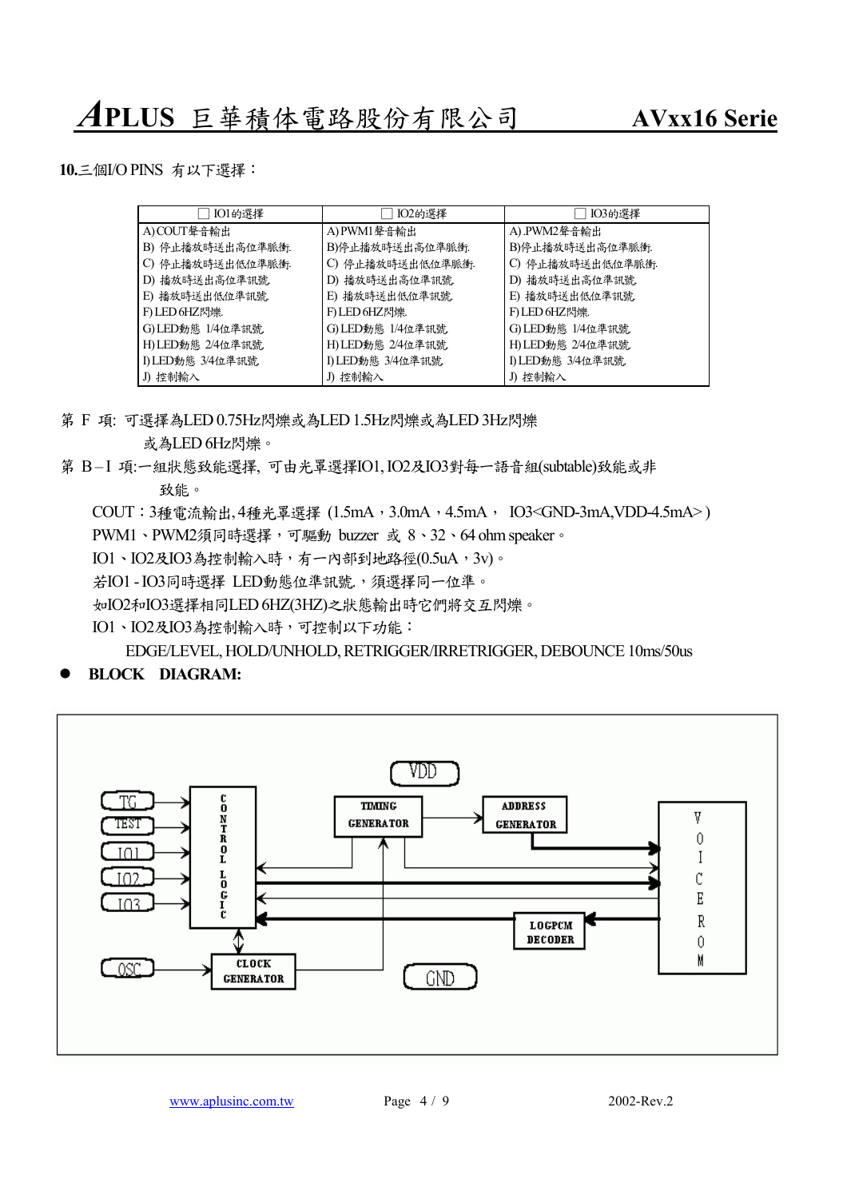

### z **BLOCK DIAGRAM:**

**10.**㆔個I/O PINS 有以㆘選擇:

A) COUT聲音輸出

B) 停止播放時送出高位準脈衝. C) 停止播放時送出低位準脈衝. D) 播放時送出高位準訊號. E) 播放時送出低位準訊號. F) LED 6HZ閃爍. G) LED動態 1/4位準訊號. H) LED動態 2/4位準訊號. I) LED動態 3/4位準訊號.

致能。 COUT: 3種電流輸出, 4種光罩選擇 (1.5mA, 3.0mA, 4.5mA, IO3<GND-3mA, VDD-4.5mA>) PWM1、PWM2須同時選擇,可驅動 buzzer 或 8、32、64 ohm speaker。 IO1、IO2及IO3為控制輸入時,有一內部到地路徑(0.5uA,3v)。 若IO1-IO3同時選擇 LED動態位準訊號,,須選擇同一位準。 如IO2和IO3選擇相同LED 6HZ(3HZ)之狀態輸出時它們將交互閃爍。 IO1、IO2及IO3為控制輸入時,可控制以下功能: EDGE/LEVEL, HOLD/UNHOLD, RETRIGGER/IRRETRIGGER, DEBOUNCE 10ms/50us

- 
- 或為LED 6Hz閃爍。
- 第 F 項: 可選擇為LED 0.75Hz閃爍或為LED 1.5Hz閃爍或為LED 3Hz閃爍





第  $B-I$  項:一組狀態致能選擇, 可由光罩選擇IO1, IO2及IO3對每一語音組(subtable)致能或非

### J) 控制輸入 J) 控制輸入 J) 控制輸入

A) .PWM2聲音輸出

B)停止播放時送出高位準脈衝. C) 停止播放時送出低位準脈衝. D) 播放時送出高位準訊號. E) 播放時送出低位準訊號. F) LED 6HZ閃爍. G) LED動態 1/4位準訊號. H) LED動態 2/4位準訊號. I) LED動態 3/4位準訊號.

□ IO1的選擇 □ IO2的選擇 □ IO3的選擇

B)停止播放時送出高位準脈衝. C) 停止播放時送出低位準脈衝. D) 播放時送出高位準訊號. E) 播放時送出低位準訊號. F) LED 6HZ閃爍. G) LED動態 1/4位準訊號. H) LED動態 2/4位準訊號. I) LED動態 3/4位準訊號.

A) PWM1聲音輸出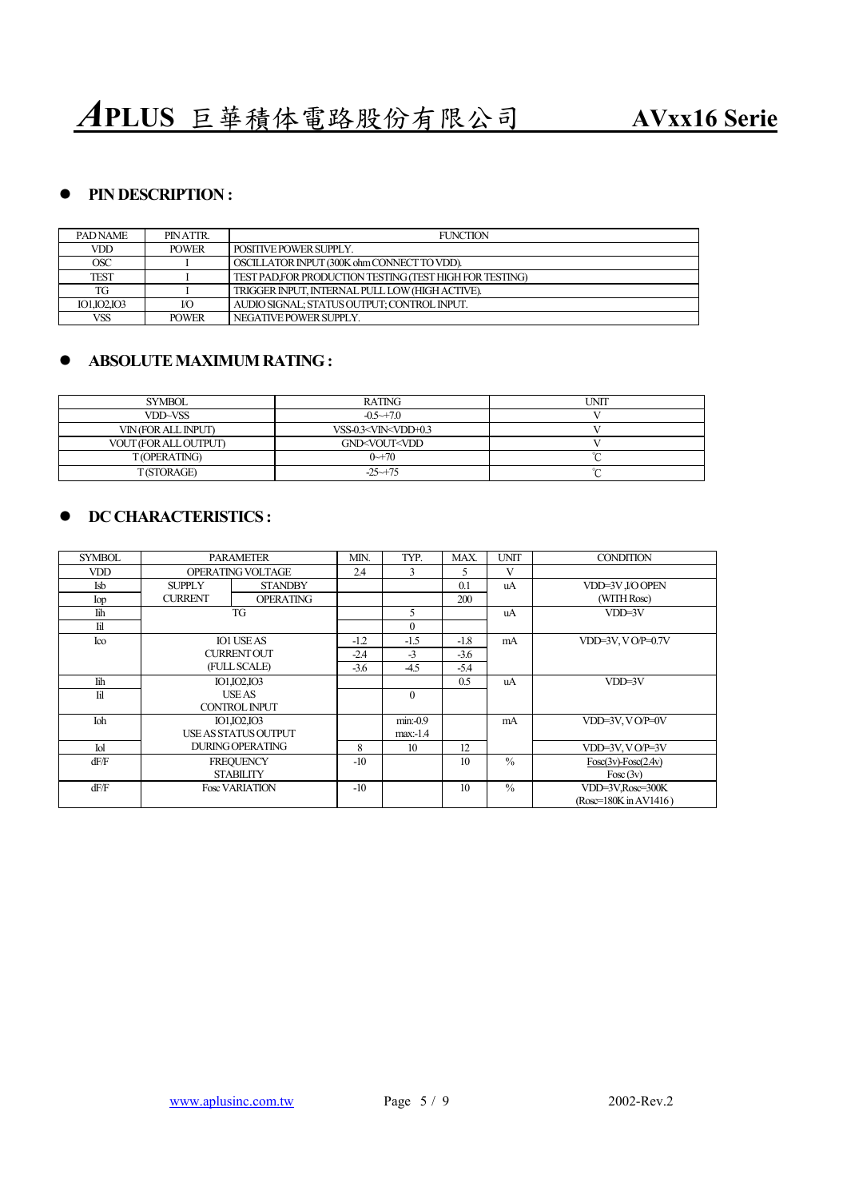## **• PIN DESCRIPTION :**

| <b>PADNAME</b> | PIN ATTR.    | <b>FUNCTION</b>                                         |
|----------------|--------------|---------------------------------------------------------|
| VDD            | <b>POWER</b> | POSITIVE POWER SUPPLY.                                  |
| OSC            |              | OSCILLATOR INPUT (300K ohm CONNECT TO VDD).             |
| TEST           |              | TEST PAD.FOR PRODUCTION TESTING (TEST HIGH FOR TESTING) |
| TG             |              | TRIGGER INPUT, INTERNAL PULL LOW (HIGH ACTIVE).         |
| IO1.IO2.IO3    | I/O          | AUDIO SIGNAL: STATUS OUTPUT: CONTROL INPUT.             |
| VSS            | <b>POWER</b> | NEGATIVE POWER SUPPLY.                                  |

### z **ABSOLUTE MAXIMUM RATING :**

| <b>SYMBOL</b>         | <b>RATING</b>                                        | <b>UNIT</b> |
|-----------------------|------------------------------------------------------|-------------|
| VDD~VSS               | $-0.5 \rightarrow 7.0$                               |             |
| VIN (FOR ALL INPUT)   | VSS-0.3 <vin<vdd+0.3< td=""><td></td></vin<vdd+0.3<> |             |
| VOUT (FOR ALL OUTPUT) | GND <vout<vdd< td=""><td></td></vout<vdd<>           |             |
| T(OPERATING)          | $0 - 70$                                             | $\sim$      |
| T(STORAGE)            | $-25 \rightarrow 75$                                 | $\sim$      |

## $\bullet$  **DC CHARACTERISTICS :**

| <b>SYMBOL</b>                  | <b>PARAMETER</b>        | MIN.                 | TYP.   | MAX.         | <b>UNIT</b>   | <b>CONDITION</b>        |                       |
|--------------------------------|-------------------------|----------------------|--------|--------------|---------------|-------------------------|-----------------------|
| <b>VDD</b>                     | OPERATING VOLTAGE       | 2.4                  | 3      | 5            | V             |                         |                       |
| Isb                            | <b>SUPPLY</b>           | <b>STANDBY</b>       |        |              | 0.1           | uA                      | VDD=3V J/OOPEN        |
| Iop                            | <b>CURRENT</b>          | <b>OPERATING</b>     |        |              | 200           |                         | (WITH Rosc)           |
| <b>lih</b>                     |                         | TG                   |        | 5            |               | uA                      | $VDD=3V$              |
| $\mathop{\mathrm{H}}\nolimits$ |                         |                      |        | $\mathbf{0}$ |               |                         |                       |
| Ico                            |                         | <b>IO1 USE AS</b>    | $-1.2$ | $-1.5$       | $-1.8$        | mA                      | $VDD=3V$ , $VOP=0.7V$ |
|                                |                         | <b>CURRENT OUT</b>   | $-2.4$ | $-3$         | $-3.6$        |                         |                       |
|                                |                         | (FULL SCALE)         | $-3.6$ | $-4.5$       | $-5.4$        |                         |                       |
| <b>Tih</b>                     | IO1, IO2, IO3           |                      |        | 0.5          | uA            | $VDD=3V$                |                       |
| $\mathbf{H}$                   |                         | <b>USE AS</b>        |        | $\Omega$     |               |                         |                       |
|                                |                         | <b>CONTROL INPUT</b> |        |              |               |                         |                       |
| Ioh                            |                         | IO1, IO2, IO3        |        | $min: -0.9$  |               | mA                      | VDD=3V, VO/P=0V       |
|                                |                         | USE AS STATUS OUTPUT |        | max:1.4      |               |                         |                       |
| Iol                            | <b>DURING OPERATING</b> | 8                    | 10     | 12           |               | $VDD=3V, VOP=3V$        |                       |
| dF/F                           | <b>FREQUENCY</b>        | $-10$                |        | 10           | $\frac{0}{0}$ | $Fosc(3v) - Fosc(2.4v)$ |                       |
|                                | <b>STABILITY</b>        |                      |        |              |               | Fosc(3v)                |                       |
| dF/F                           | <b>Fosc VARIATION</b>   | $-10$                |        | 10           | $\frac{0}{0}$ | VDD=3V,Rosc=300K        |                       |
|                                |                         |                      |        |              |               |                         | (Rosc=180K in AV1416) |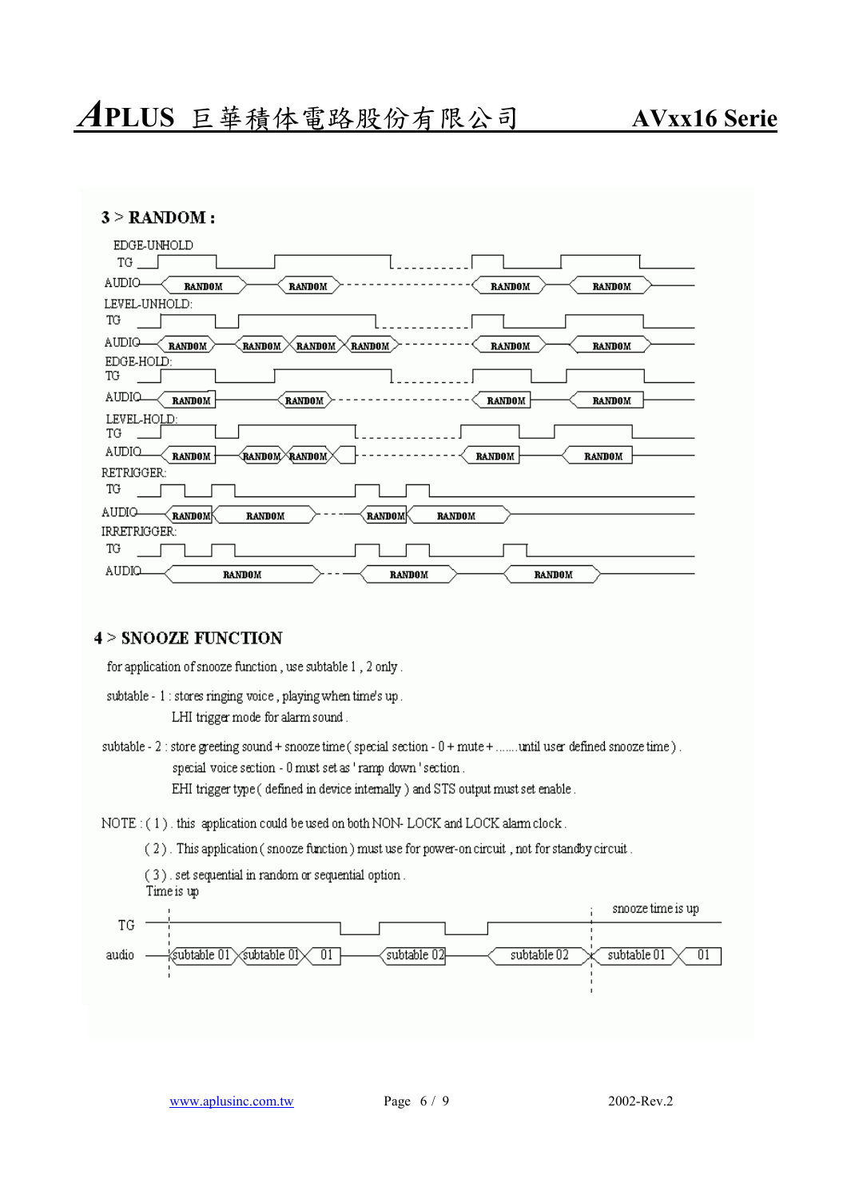# *A***PLUS** 巨華積体電路股份有限公司 **AVxx16 Serie**

|  |  | $3 >$ RANDOM: |  |
|--|--|---------------|--|
|--|--|---------------|--|

| EDGE-UNHOLD                                                                                      |
|--------------------------------------------------------------------------------------------------|
| TG                                                                                               |
| AUDIO<br><b>RANDOM</b><br><b>RANDOM</b><br><b>RANDOM</b><br><b>RANDOM</b>                        |
| LEVEL-UNHOLD:                                                                                    |
| TG                                                                                               |
| AUDIO<br><b>RANDOM</b><br>RANDOM<br><b>RANDOM</b><br>(RANDOM )<br><b>RANDOM</b><br><b>RANDOM</b> |
| EDGE-HOLD:                                                                                       |
| TG                                                                                               |
| AUDIO<br><b>RANDOM</b><br><b>RANDOM</b><br><b>RANDOM</b><br><b>RANDOM</b>                        |
| LEVEL-HOLD:<br>TG                                                                                |
| AUDIQ<br>(RANDOM/\RANDOM)<br><b>RANDOM</b><br><b>RANDOM</b><br><b>RANDOM</b>                     |
| RETRIGGER:                                                                                       |
| TG                                                                                               |
| AUDIO-<br><b>RANDOM</b><br><b>RANDOM</b><br><b>RANDOM</b><br><b>RANDOM</b>                       |
| IRRETRIGGER:                                                                                     |
| TG                                                                                               |
| AUDIQ<br><b>RANDOM</b><br><b>RANDOM</b><br><b>RANDOM</b>                                         |

## **4 > SNOOZE FUNCTION**

for application of snooze function, use subtable 1, 2 only.

subtable - 1 : stores ringing voice, playing when time's up. LHI trigger mode for alarm sound.

subtable - 2 : store greeting sound + snooze time (special section - 0 + mute + ...... until user defined snooze time). special voice section - 0 must set as 'ramp down 'section. EHI trigger type (defined in device internally) and STS output must set enable.

NOTE: (1). this application could be used on both NON-LOCK and LOCK alarm clock.

(2). This application (snooze function) must use for power-on circuit, not for standby circuit.

(3) set sequential in random or sequential option. Time is up

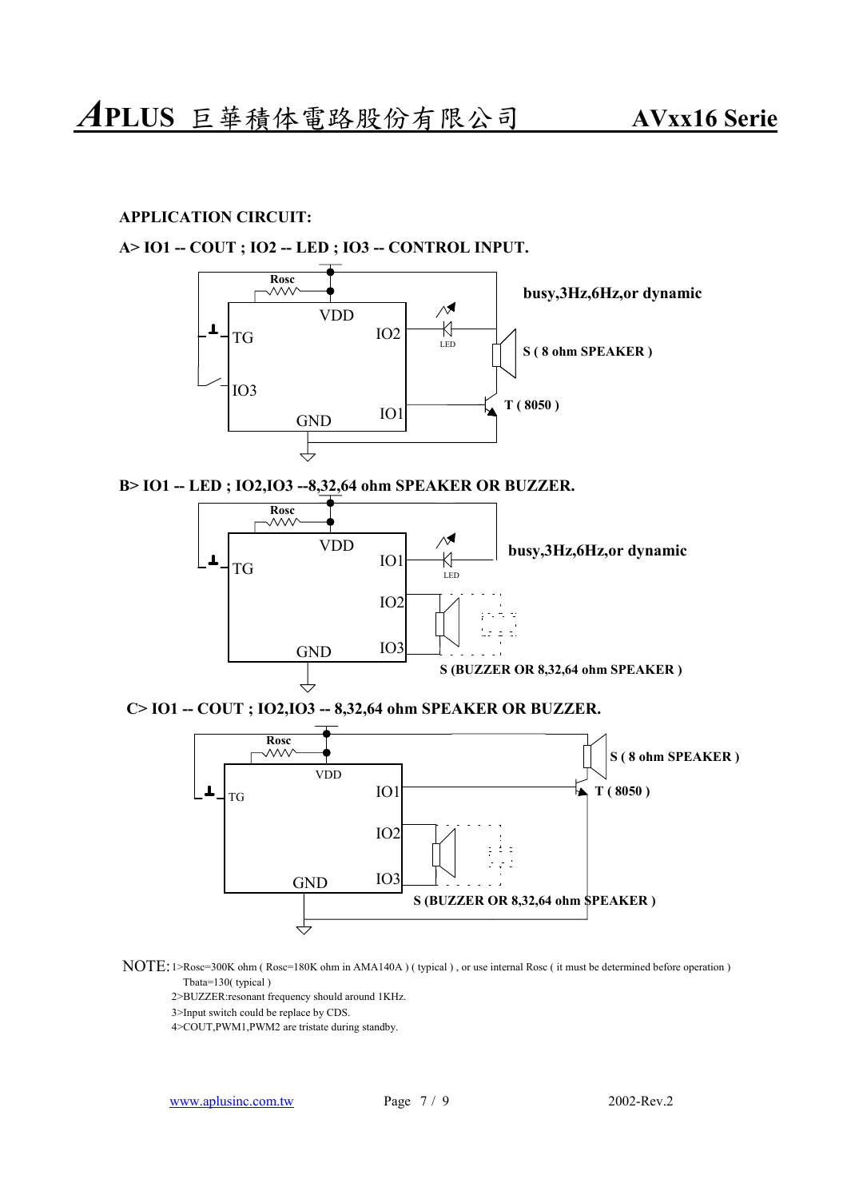### **APPLICATION CIRCUIT:**

### **A> IO1 -- COUT ; IO2 -- LED ; IO3 -- CONTROL INPUT.**



**B> IO1 -- LED ; IO2,IO3 --8,32,64 ohm SPEAKER OR BUZZER.**



**C> IO1 -- COUT ; IO2,IO3 -- 8,32,64 ohm SPEAKER OR BUZZER.**



- NOTE: 1>Rosc=300K ohm ( Rosc=180K ohm in AMA140A ) ( typical ) , or use internal Rosc ( it must be determined before operation ) Tbata=130( typical )
	- 2>BUZZER:resonant frequency should around 1KHz.
	- 3>Input switch could be replace by CDS.

4>COUT,PWM1,PWM2 are tristate during standby.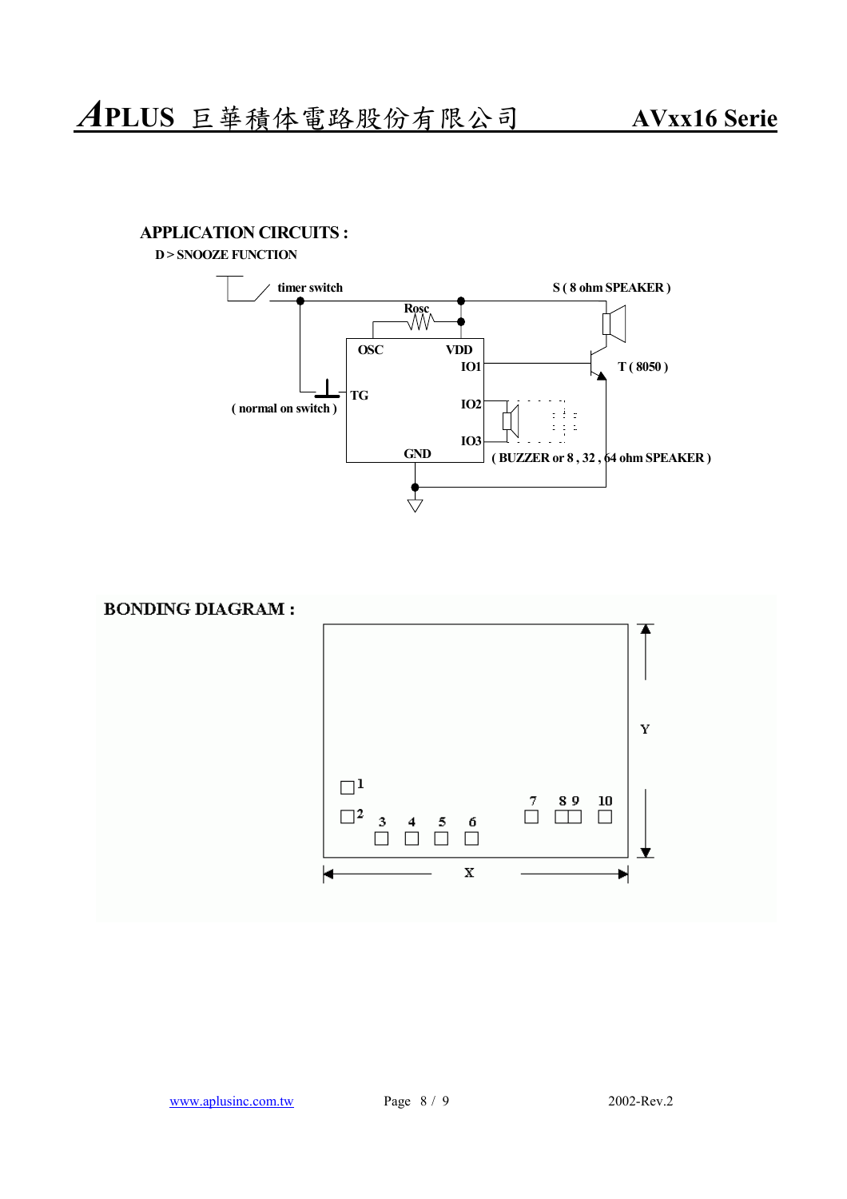**APPLICATION CIRCUITS :**

**D > SNOOZE FUNCTION**